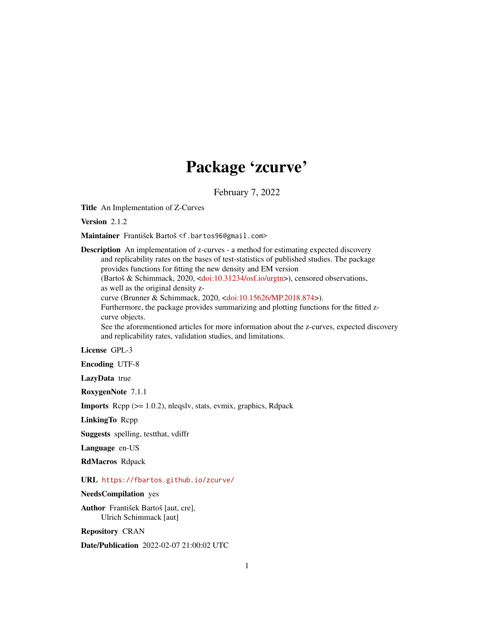# Package 'zcurve'

February 7, 2022

<span id="page-0-0"></span>Title An Implementation of Z-Curves

Version 2.1.2

Maintainer František Bartoš <f.bartos96@gmail.com>

Description An implementation of z-curves - a method for estimating expected discovery and replicability rates on the bases of test-statistics of published studies. The package provides functions for fitting the new density and EM version (Bartoš & Schimmack, 2020, [<doi:10.31234/osf.io/urgtn>](https://doi.org/10.31234/osf.io/urgtn)), censored observations, as well as the original density zcurve (Brunner & Schimmack, 2020, [<doi:10.15626/MP.2018.874>](https://doi.org/10.15626/MP.2018.874)). Furthermore, the package provides summarizing and plotting functions for the fitted zcurve objects. See the aforementioned articles for more information about the z-curves, expected discovery and replicability rates, validation studies, and limitations.

License GPL-3

Encoding UTF-8

LazyData true

RoxygenNote 7.1.1

Imports Rcpp (>= 1.0.2), nleqslv, stats, evmix, graphics, Rdpack

LinkingTo Rcpp

Suggests spelling, testthat, vdiffr

Language en-US

RdMacros Rdpack

URL <https://fbartos.github.io/zcurve/>

NeedsCompilation yes

Author František Bartoš [aut, cre], Ulrich Schimmack [aut]

Repository CRAN

Date/Publication 2022-02-07 21:00:02 UTC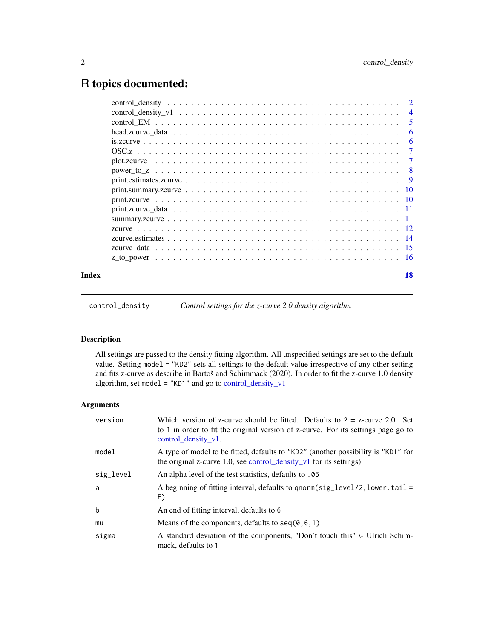# <span id="page-1-0"></span>R topics documented:

|       | $\overline{4}$ |
|-------|----------------|
|       | -5             |
|       | 6              |
|       | 6              |
|       | $\tau$         |
|       | $\tau$         |
|       |                |
|       |                |
|       |                |
|       |                |
|       |                |
|       |                |
|       |                |
|       |                |
|       |                |
|       |                |
| Index | 18             |

<span id="page-1-1"></span>control\_density *Control settings for the z-curve 2.0 density algorithm*

#### Description

All settings are passed to the density fitting algorithm. All unspecified settings are set to the default value. Setting model = "KD2" sets all settings to the default value irrespective of any other setting and fits z-curve as describe in Bartoš and Schimmack (2020). In order to fit the z-curve 1.0 density algorithm, set model = "KD1" and go to [control\\_density\\_v1](#page-3-1)

#### Arguments

| version   | Which version of z-curve should be fitted. Defaults to $2 = z$ -curve 2.0. Set<br>to 1 in order to fit the original version of z-curve. For its settings page go to<br>control density v1. |
|-----------|--------------------------------------------------------------------------------------------------------------------------------------------------------------------------------------------|
| model     | A type of model to be fitted, defaults to "KD2" (another possibility is "KD1" for<br>the original z-curve 1.0, see control_density_v1 for its settings)                                    |
| sig_level | An alpha level of the test statistics, defaults to .05                                                                                                                                     |
| a         | A beginning of fitting interval, defaults to qnorm( $sig\_level/2$ , lower. tail =<br>F)                                                                                                   |
| b         | An end of fitting interval, defaults to 6                                                                                                                                                  |
| mu        | Means of the components, defaults to $seq(0, 6, 1)$                                                                                                                                        |
| sigma     | A standard deviation of the components, "Don't touch this" \- Ulrich Schim-<br>mack, defaults to 1                                                                                         |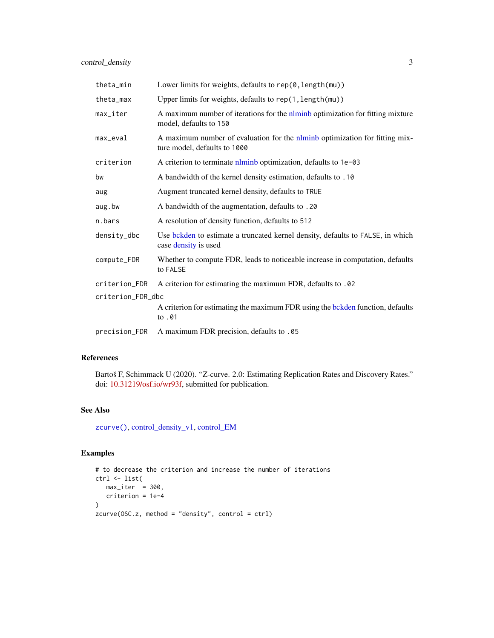<span id="page-2-0"></span>

| theta_min              | Lower limits for weights, defaults to $rep(0, length(mu))$                                                  |  |
|------------------------|-------------------------------------------------------------------------------------------------------------|--|
| theta_max              | Upper limits for weights, defaults to rep(1, length(mu))                                                    |  |
| $max$ <sub>Liter</sub> | A maximum number of iterations for the nlminb optimization for fitting mixture<br>model, defaults to 150    |  |
| max_eval               | A maximum number of evaluation for the nlminb optimization for fitting mix-<br>ture model, defaults to 1000 |  |
| criterion              | A criterion to terminate nlminb optimization, defaults to 1e-03                                             |  |
| bw                     | A bandwidth of the kernel density estimation, defaults to .10                                               |  |
| aug                    | Augment truncated kernel density, defaults to TRUE                                                          |  |
| aug.bw                 | A bandwidth of the augmentation, defaults to .20                                                            |  |
| n.bars                 | A resolution of density function, defaults to 512                                                           |  |
| density_dbc            | Use bekden to estimate a truncated kernel density, defaults to FALSE, in which<br>case density is used      |  |
| compute_FDR            | Whether to compute FDR, leads to noticeable increase in computation, defaults<br>to FALSE                   |  |
| criterion_FDR          | A criterion for estimating the maximum FDR, defaults to .02                                                 |  |
| criterion_FDR_dbc      |                                                                                                             |  |
|                        | A criterion for estimating the maximum FDR using the bokden function, defaults<br>to .01                    |  |
| precision_FDR          | A maximum FDR precision, defaults to .05                                                                    |  |

#### References

Bartoš F, Schimmack U (2020). "Z-curve. 2.0: Estimating Replication Rates and Discovery Rates." doi: [10.31219/osf.io/wr93f,](https://doi.org/10.31219/osf.io/wr93f) submitted for publication.

#### See Also

[zcurve\(\)](#page-11-1), [control\\_density\\_v1,](#page-3-1) [control\\_EM](#page-4-1)

#### Examples

```
# to decrease the criterion and increase the number of iterations
ctrl <- list(
  max\_iter = 300,
  criterion = 1e-4
\lambdazcurve(OSC.z, method = "density", control = ctrl)
```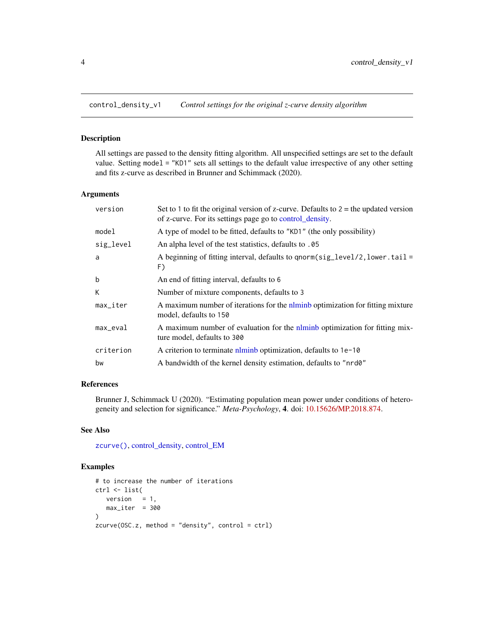<span id="page-3-1"></span><span id="page-3-0"></span>

#### Description

All settings are passed to the density fitting algorithm. All unspecified settings are set to the default value. Setting model = "KD1" sets all settings to the default value irrespective of any other setting and fits z-curve as described in Brunner and Schimmack (2020).

#### Arguments

| version                | Set to 1 to fit the original version of z-curve. Defaults to $2 =$ the updated version<br>of z-curve. For its settings page go to control_density. |
|------------------------|----------------------------------------------------------------------------------------------------------------------------------------------------|
| model                  | A type of model to be fitted, defaults to "KD1" (the only possibility)                                                                             |
| sig_level              | An alpha level of the test statistics, defaults to .05                                                                                             |
| a                      | A beginning of fitting interval, defaults to qnorm(sig_level/2, lower.tail=<br>F)                                                                  |
| b                      | An end of fitting interval, defaults to 6                                                                                                          |
| К                      | Number of mixture components, defaults to 3                                                                                                        |
| $max$ <sub>Liter</sub> | A maximum number of iterations for the nominal optimization for fitting mixture<br>model, defaults to 150                                          |
| $max$ <sub>eval</sub>  | A maximum number of evaluation for the nominal optimization for fitting mix-<br>ture model, defaults to 300                                        |
| criterion              | A criterion to terminate norminal optimization, defaults to 1e-10                                                                                  |
| bw                     | A bandwidth of the kernel density estimation, defaults to "nrd0"                                                                                   |

# References

Brunner J, Schimmack U (2020). "Estimating population mean power under conditions of heterogeneity and selection for significance." *Meta-Psychology*, 4. doi: [10.15626/MP.2018.874.](https://doi.org/10.15626/MP.2018.874)

# See Also

[zcurve\(\)](#page-11-1), [control\\_density,](#page-1-1) [control\\_EM](#page-4-1)

#### Examples

```
# to increase the number of iterations
ctrl <- list(
  version = 1,
   max\_iter = 300
\lambdazcurve(0SC.z, method = "density", control = ctr1)
```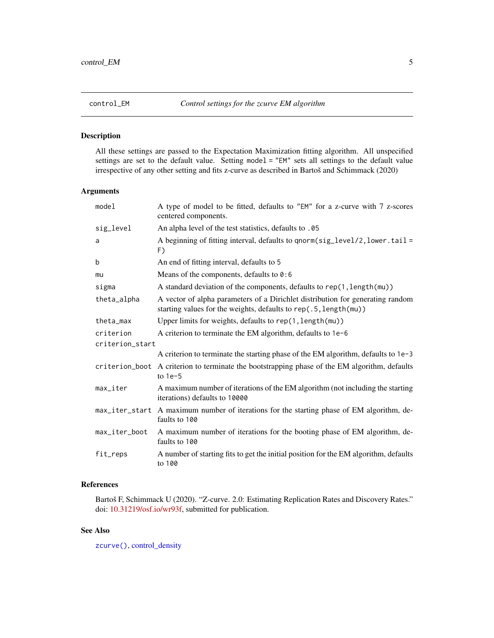#### <span id="page-4-1"></span><span id="page-4-0"></span>Description

All these settings are passed to the Expectation Maximization fitting algorithm. All unspecified settings are set to the default value. Setting model = "EM" sets all settings to the default value irrespective of any other setting and fits z-curve as described in Bartoš and Schimmack (2020)

#### Arguments

| model           | A type of model to be fitted, defaults to "EM" for a z-curve with 7 z-scores<br>centered components.                                               |  |
|-----------------|----------------------------------------------------------------------------------------------------------------------------------------------------|--|
| sig_level       | An alpha level of the test statistics, defaults to .05                                                                                             |  |
| a               | A beginning of fitting interval, defaults to qnorm(sig_level/2, lower.tail=<br>F)                                                                  |  |
| b               | An end of fitting interval, defaults to 5                                                                                                          |  |
| mu              | Means of the components, defaults to $0:6$                                                                                                         |  |
| sigma           | A standard deviation of the components, defaults to rep(1, length(mu))                                                                             |  |
| theta_alpha     | A vector of alpha parameters of a Dirichlet distribution for generating random<br>starting values for the weights, defaults to rep(.5, length(mu)) |  |
| theta_max       | Upper limits for weights, defaults to rep(1, length(mu))                                                                                           |  |
| criterion       | A criterion to terminate the EM algorithm, defaults to 1e-6                                                                                        |  |
| criterion_start |                                                                                                                                                    |  |
|                 | A criterion to terminate the starting phase of the EM algorithm, defaults to 1e-3                                                                  |  |
|                 | criterion_boot A criterion to terminate the bootstrapping phase of the EM algorithm, defaults<br>to $1e-5$                                         |  |
| max_iter        | A maximum number of iterations of the EM algorithm (not including the starting<br>iterations) defaults to 10000                                    |  |
|                 | max_iter_start A maximum number of iterations for the starting phase of EM algorithm, de-<br>faults to 100                                         |  |
| max_iter_boot   | A maximum number of iterations for the booting phase of EM algorithm, de-<br>faults to 100                                                         |  |
| fit_reps        | A number of starting fits to get the initial position for the EM algorithm, defaults<br>to 100                                                     |  |

#### References

Bartoš F, Schimmack U (2020). "Z-curve. 2.0: Estimating Replication Rates and Discovery Rates." doi: [10.31219/osf.io/wr93f,](https://doi.org/10.31219/osf.io/wr93f) submitted for publication.

### See Also

[zcurve\(\)](#page-11-1), [control\\_density](#page-1-1)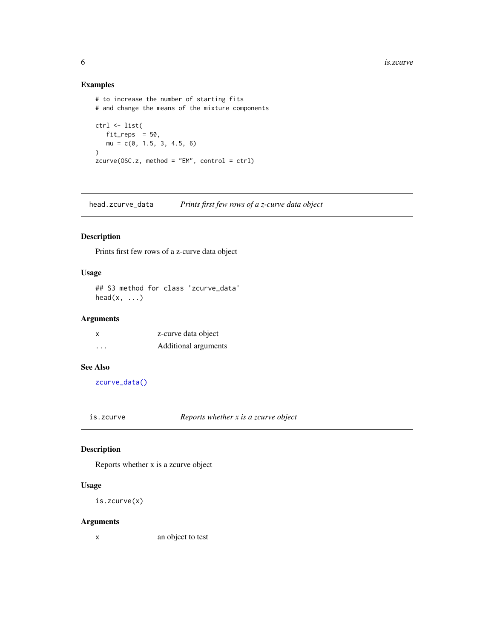#### Examples

```
# to increase the number of starting fits
# and change the means of the mixture components
ctrl <- list(
   fit_{reps} = 50,
   mu = c(0, 1.5, 3, 4.5, 6)\mathcal{L}zcurve(OSC.z, method = "EM", control = ctrl)
```
<span id="page-5-1"></span>head.zcurve\_data *Prints first few rows of a z-curve data object*

#### Description

Prints first few rows of a z-curve data object

#### Usage

```
## S3 method for class 'zcurve_data'
head(x, \ldots)
```
#### Arguments

| $\boldsymbol{\mathsf{x}}$ | z-curve data object  |
|---------------------------|----------------------|
| .                         | Additional arguments |

#### See Also

[zcurve\\_data\(\)](#page-14-1)

is.zcurve *Reports whether x is a zcurve object*

#### Description

Reports whether x is a zcurve object

#### Usage

is.zcurve(x)

#### Arguments

x an object to test

<span id="page-5-0"></span>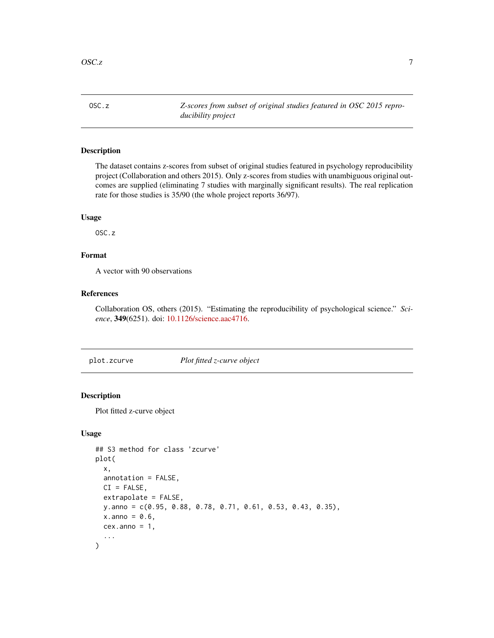<span id="page-6-0"></span>OSC.z *Z-scores from subset of original studies featured in OSC 2015 reproducibility project*

# Description

The dataset contains z-scores from subset of original studies featured in psychology reproducibility project (Collaboration and others 2015). Only z-scores from studies with unambiguous original outcomes are supplied (eliminating 7 studies with marginally significant results). The real replication rate for those studies is 35/90 (the whole project reports 36/97).

#### Usage

OSC.z

#### Format

A vector with 90 observations

#### References

Collaboration OS, others (2015). "Estimating the reproducibility of psychological science." *Science*, 349(6251). doi: [10.1126/science.aac4716.](https://doi.org/10.1126/science.aac4716)

<span id="page-6-1"></span>plot.zcurve *Plot fitted z-curve object*

#### Description

Plot fitted z-curve object

```
## S3 method for class 'zcurve'
plot(
  x,
  annotation = FALSE,
 CI = FALSE,extrapolate = FALSE,
 y.anno = c(0.95, 0.88, 0.78, 0.71, 0.61, 0.53, 0.43, 0.35),
  x.anno = 0.6,
  cex.anno = 1,
  ...
)
```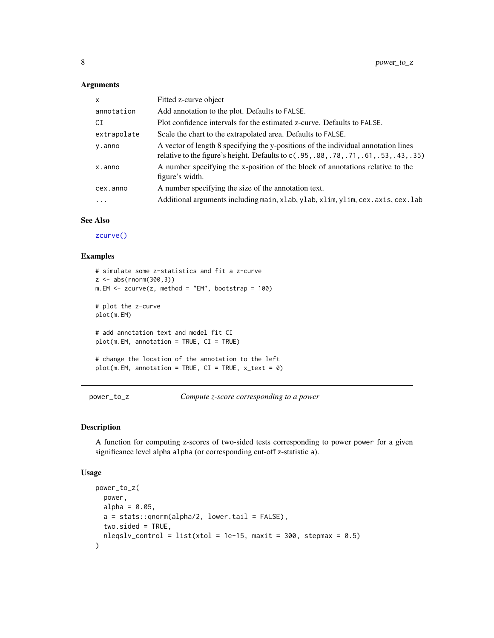#### Arguments

| $\mathsf{x}$ | Fitted z-curve object                                                                                                                                                        |
|--------------|------------------------------------------------------------------------------------------------------------------------------------------------------------------------------|
| annotation   | Add annotation to the plot. Defaults to FALSE.                                                                                                                               |
| CI           | Plot confidence intervals for the estimated z-curve. Defaults to FALSE.                                                                                                      |
| extrapolate  | Scale the chart to the extrapolated area. Defaults to FALSE.                                                                                                                 |
| y.anno       | A vector of length 8 specifying the y-positions of the individual annotation lines<br>relative to the figure's height. Defaults to c(.95, .88, .78, .71, .61, .53, .43, .35) |
| x.anno       | A number specifying the x-position of the block of annotations relative to the<br>figure's width.                                                                            |
| cex.anno     | A number specifying the size of the annotation text.                                                                                                                         |
| .            | Additional arguments including main, xlab, ylab, xlim, ylim, cex. axis, cex. lab                                                                                             |

#### See Also

[zcurve\(\)](#page-11-1)

#### Examples

```
# simulate some z-statistics and fit a z-curve
z <- abs(rnorm(300,3))
m.EM < -zcurve(z, method = "EM", bootstrap = 100)# plot the z-curve
plot(m.EM)
# add annotation text and model fit CI
plot(m.EM, annotation = TRUE, CI = TRUE)
# change the location of the annotation to the left
plot(m.EM, annotation = TRUE, CI = TRUE, x_test = 0)
```
power\_to\_z *Compute z-score corresponding to a power*

#### Description

A function for computing z-scores of two-sided tests corresponding to power power for a given significance level alpha alpha (or corresponding cut-off z-statistic a).

```
power_to_z(
  power,
 alpha = 0.05,
 a = stats::qnorm(alpha/2, lower.tail = FALSE),two. \text{sided} = \text{TRUE},
  nleqslv_control = list(xtol = 1e-15, maxit = 300, stepmax = 0.5)
)
```
<span id="page-7-0"></span>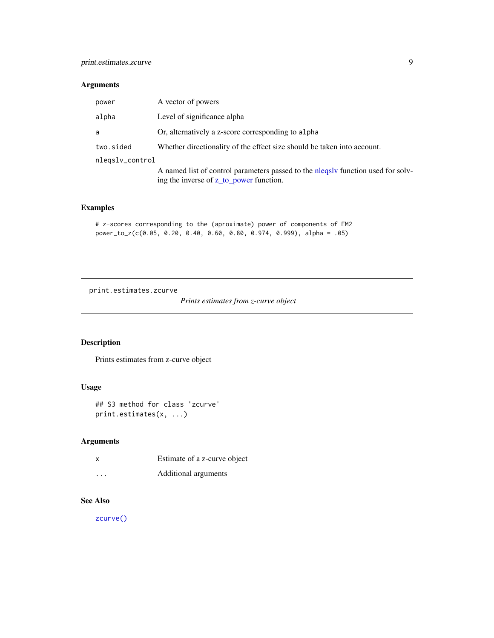# <span id="page-8-0"></span>Arguments

| A vector of powers                                                                                                          |
|-----------------------------------------------------------------------------------------------------------------------------|
| Level of significance alpha                                                                                                 |
| Or, alternatively a z-score corresponding to alpha                                                                          |
| Whether directionality of the effect size should be taken into account.                                                     |
|                                                                                                                             |
| A named list of control parameters passed to the nlegsly function used for solv-<br>ing the inverse of z_to_power function. |
|                                                                                                                             |

#### Examples

```
# z-scores corresponding to the (aproximate) power of components of EM2
power_to_z(c(0.05, 0.20, 0.40, 0.60, 0.80, 0.974, 0.999), alpha = .05)
```
print.estimates.zcurve

*Prints estimates from z-curve object*

#### Description

Prints estimates from z-curve object

#### Usage

```
## S3 method for class 'zcurve'
print.estimates(x, ...)
```
#### Arguments

| X        | Estimate of a z-curve object |
|----------|------------------------------|
| $\cdots$ | Additional arguments         |

# See Also

[zcurve\(\)](#page-11-1)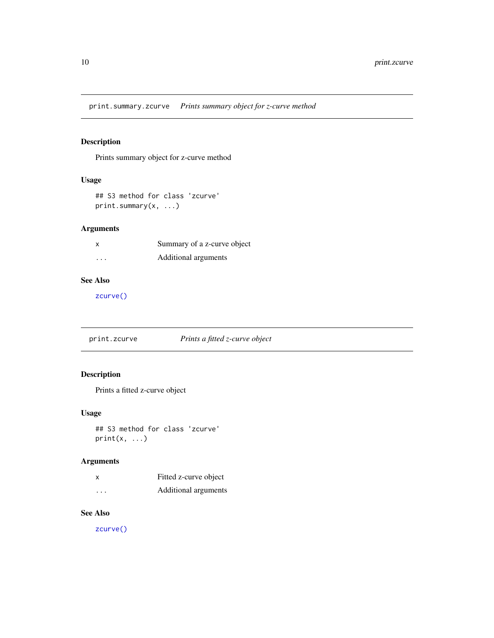<span id="page-9-0"></span>print.summary.zcurve *Prints summary object for z-curve method*

# Description

Prints summary object for z-curve method

#### Usage

```
## S3 method for class 'zcurve'
print.summary(x, ...)
```
#### Arguments

|         | Summary of a z-curve object |
|---------|-----------------------------|
| $\cdot$ | Additional arguments        |

### See Also

[zcurve\(\)](#page-11-1)

print.zcurve *Prints a fitted z-curve object*

# Description

Prints a fitted z-curve object

#### Usage

## S3 method for class 'zcurve'  $print(x, \ldots)$ 

#### Arguments

| Χ                       | Fitted z-curve object |
|-------------------------|-----------------------|
| $\cdot$ $\cdot$ $\cdot$ | Additional arguments  |

#### See Also

[zcurve\(\)](#page-11-1)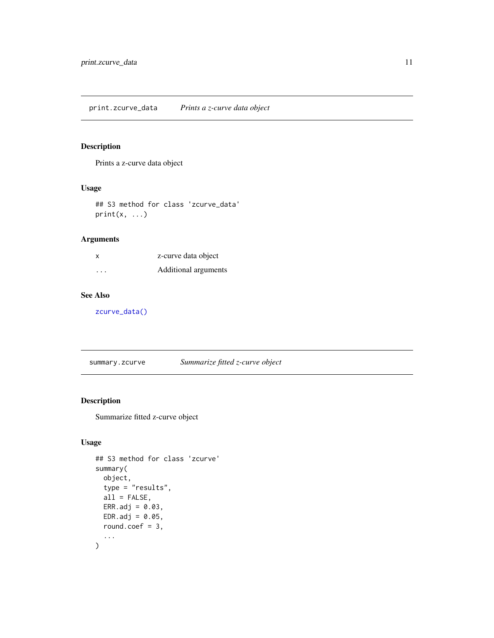#### <span id="page-10-2"></span><span id="page-10-0"></span>Description

Prints a z-curve data object

#### Usage

## S3 method for class 'zcurve\_data'  $print(x, \ldots)$ 

# Arguments

| x                       | z-curve data object  |
|-------------------------|----------------------|
| $\cdot$ $\cdot$ $\cdot$ | Additional arguments |

# See Also

[zcurve\\_data\(\)](#page-14-1)

<span id="page-10-1"></span>summary.zcurve *Summarize fitted z-curve object*

#### Description

Summarize fitted z-curve object

```
## S3 method for class 'zcurve'
summary(
  object,
  type = "results",
  all = FALSE,ERR.add = 0.03,EDR.addj = 0.05,round.coef = 3,
  ...
\mathcal{E}
```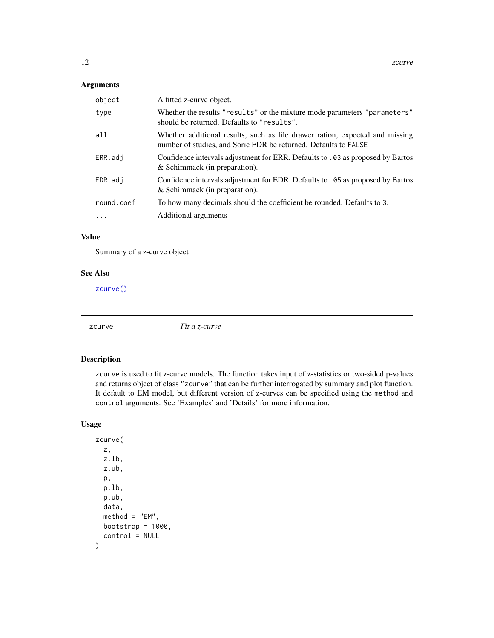#### <span id="page-11-0"></span>Arguments

| object     | A fitted z-curve object.                                                                                                                        |
|------------|-------------------------------------------------------------------------------------------------------------------------------------------------|
| type       | Whether the results "results" or the mixture mode parameters "parameters"<br>should be returned. Defaults to "results".                         |
| a11        | Whether additional results, such as file drawer ration, expected and missing<br>number of studies, and Soric FDR be returned. Defaults to FALSE |
| ERR.adj    | Confidence intervals adjustment for ERR. Defaults to .03 as proposed by Bartos<br>& Schimmack (in preparation).                                 |
| EDR.adi    | Confidence intervals adjustment for EDR. Defaults to .05 as proposed by Bartos<br>& Schimmack (in preparation).                                 |
| round.coef | To how many decimals should the coefficient be rounded. Defaults to 3.                                                                          |
| $\cdot$    | Additional arguments                                                                                                                            |

#### Value

Summary of a z-curve object

#### See Also

[zcurve\(\)](#page-11-1)

<span id="page-11-1"></span>

zcurve *Fit a z-curve*

#### Description

zcurve is used to fit z-curve models. The function takes input of z-statistics or two-sided p-values and returns object of class "zcurve" that can be further interrogated by summary and plot function. It default to EM model, but different version of z-curves can be specified using the method and control arguments. See 'Examples' and 'Details' for more information.

```
zcurve(
  z,
  z.lb,
  z.ub,
  p,
  p.lb,
  p.ub,
  data,
  method = "EM",bootstrap = 1000,
  control = NULL
\mathcal{E}
```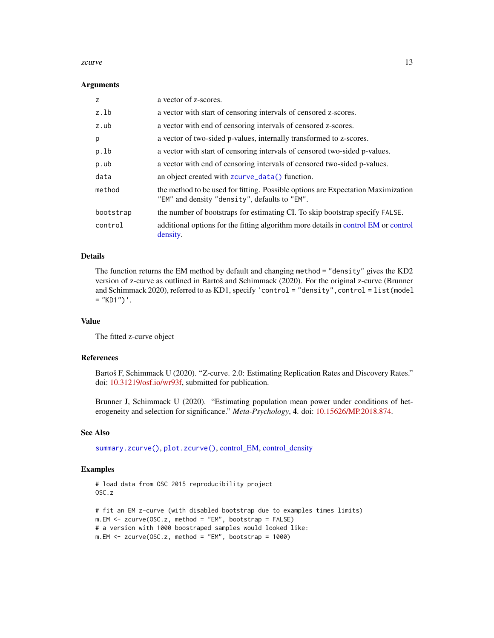#### <span id="page-12-0"></span>zcurve the contract of the contract of the contract of the contract of the contract of the contract of the contract of the contract of the contract of the contract of the contract of the contract of the contract of the con

#### **Arguments**

| Z         | a vector of z-scores.                                                                                                             |
|-----------|-----------------------------------------------------------------------------------------------------------------------------------|
| z.1b      | a vector with start of censoring intervals of censored z-scores.                                                                  |
| z.ub      | a vector with end of censoring intervals of censored z-scores.                                                                    |
| p         | a vector of two-sided p-values, internally transformed to z-scores.                                                               |
| p.lb      | a vector with start of censoring intervals of censored two-sided p-values.                                                        |
| p.ub      | a vector with end of censoring intervals of censored two-sided p-values.                                                          |
| data      | an object created with zcurve_data() function.                                                                                    |
| method    | the method to be used for fitting. Possible options are Expectation Maximization<br>"EM" and density "density", defaults to "EM". |
| bootstrap | the number of bootstraps for estimating CI. To skip bootstrap specify FALSE.                                                      |
| control   | additional options for the fitting algorithm more details in control EM or control<br>density.                                    |

#### Details

The function returns the EM method by default and changing method = "density" gives the KD2 version of z-curve as outlined in Bartoš and Schimmack (2020). For the original z-curve (Brunner and Schimmack 2020), referred to as KD1, specify 'control = "density",control = list(model  $=$  "KD1") $\cdot$ .

#### Value

The fitted z-curve object

#### References

Bartoš F, Schimmack U (2020). "Z-curve. 2.0: Estimating Replication Rates and Discovery Rates." doi: [10.31219/osf.io/wr93f,](https://doi.org/10.31219/osf.io/wr93f) submitted for publication.

Brunner J, Schimmack U (2020). "Estimating population mean power under conditions of heterogeneity and selection for significance." *Meta-Psychology*, 4. doi: [10.15626/MP.2018.874.](https://doi.org/10.15626/MP.2018.874)

#### See Also

[summary.zcurve\(\)](#page-10-1), [plot.zcurve\(\)](#page-6-1), [control\\_EM,](#page-4-1) [control\\_density](#page-1-1)

#### Examples

```
# load data from OSC 2015 reproducibility project
OSC.z
# fit an EM z-curve (with disabled bootstrap due to examples times limits)
m.EM <- zcurve(OSC.z, method = "EM", bootstrap = FALSE)
# a version with 1000 boostraped samples would looked like:
m.EM \leq zcurve(0SC.z, method = "EM", bootstrap = 1000)
```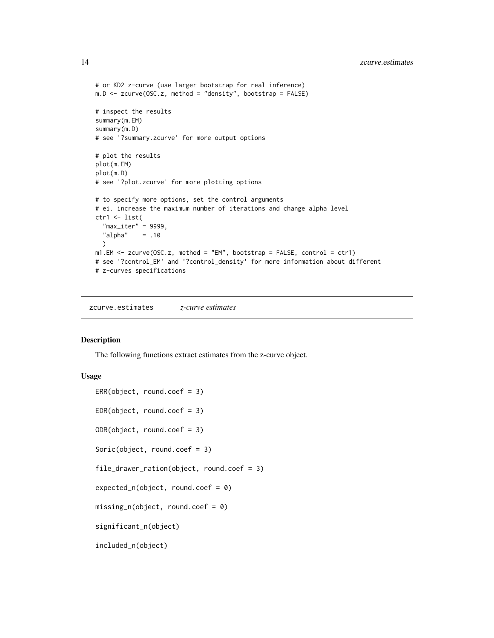<span id="page-13-0"></span>14 zcurve.estimates

```
# or KD2 z-curve (use larger bootstrap for real inference)
m.D \leq zcurve(OSC.z, method = "density", bootstrap = FALSE)
# inspect the results
summary(m.EM)
summary(m.D)
# see '?summary.zcurve' for more output options
# plot the results
plot(m.EM)
plot(m.D)
# see '?plot.zcurve' for more plotting options
# to specify more options, set the control arguments
# ei. increase the maximum number of iterations and change alpha level
ctr1 <- list(
  "max_iter" = 9999,
  "alpha" = .10\lambdam1.EM <- zcurve(OSC.z, method = "EM", bootstrap = FALSE, control = ctr1)
# see '?control_EM' and '?control_density' for more information about different
# z-curves specifications
```
zcurve.estimates *z-curve estimates*

#### Description

The following functions extract estimates from the z-curve object.

```
ERR(object, round.coef = 3)EDR(object, round.coef = 3)
ODR(object, round.coef = 3)
Soric(object, round.coef = 3)
file_drawer_ration(object, round.coef = 3)
expected_n(object, round.coef = 0)missing_n(object, round.coef = 0)
significant_n(object)
included_n(object)
```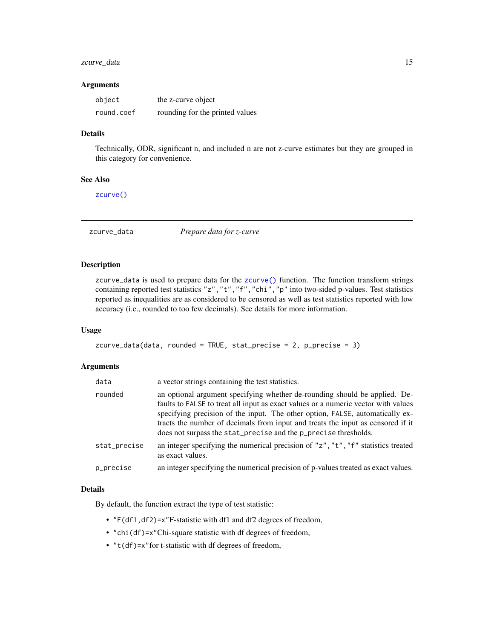#### <span id="page-14-0"></span>zcurve\_data 15

#### **Arguments**

| object     | the z-curve object              |
|------------|---------------------------------|
| round.coef | rounding for the printed values |

#### Details

Technically, ODR, significant n, and included n are not z-curve estimates but they are grouped in this category for convenience.

#### See Also

[zcurve\(\)](#page-11-1)

<span id="page-14-1"></span>zcurve\_data *Prepare data for z-curve*

#### Description

zcurve\_data is used to prepare data for the [zcurve\(\)](#page-11-1) function. The function transform strings containing reported test statistics "z","t","f","chi","p" into two-sided p-values. Test statistics reported as inequalities are as considered to be censored as well as test statistics reported with low accuracy (i.e., rounded to too few decimals). See details for more information.

#### Usage

zcurve\_data(data, rounded = TRUE, stat\_precise = 2, p\_precise = 3)

#### Arguments

| data         | a vector strings containing the test statistics.                                                                                                                                                                                                                                                                                                                                                        |
|--------------|---------------------------------------------------------------------------------------------------------------------------------------------------------------------------------------------------------------------------------------------------------------------------------------------------------------------------------------------------------------------------------------------------------|
| rounded      | an optional argument specifying whether de-rounding should be applied. De-<br>faults to FALSE to treat all input as exact values or a numeric vector with values<br>specifying precision of the input. The other option, FALSE, automatically ex-<br>tracts the number of decimals from input and treats the input as censored if it<br>does not surpass the stat_precise and the p_precise thresholds. |
| stat_precise | an integer specifying the numerical precision of "z", "t", "f" statistics treated<br>as exact values.                                                                                                                                                                                                                                                                                                   |
| p_precise    | an integer specifying the numerical precision of p-values treated as exact values.                                                                                                                                                                                                                                                                                                                      |

#### Details

By default, the function extract the type of test statistic:

- "F(df1,df2)=x"F-statistic with df1 and df2 degrees of freedom,
- "chi(df)=x"Chi-square statistic with df degrees of freedom,
- "t(df)=x"for t-statistic with df degrees of freedom,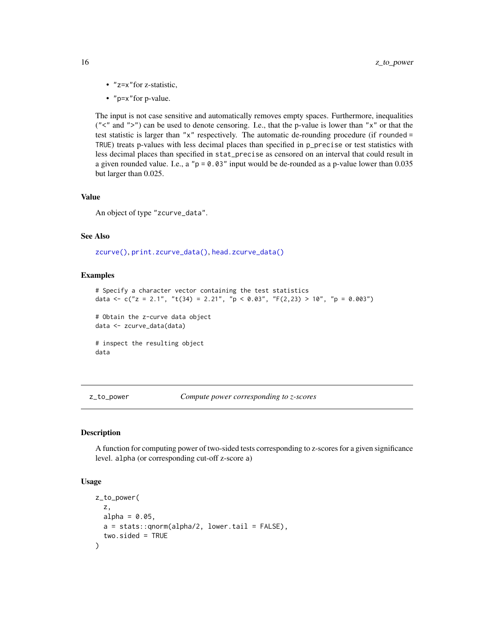- "z=x"for z-statistic,
- "p=x"for p-value.

The input is not case sensitive and automatically removes empty spaces. Furthermore, inequalities (" $\lt$ " and " $>$ ") can be used to denote censoring. I.e., that the p-value is lower than " $x$ " or that the test statistic is larger than "x" respectively. The automatic de-rounding procedure (if rounded = TRUE) treats p-values with less decimal places than specified in p\_precise or test statistics with less decimal places than specified in stat\_precise as censored on an interval that could result in a given rounded value. I.e., a " $p = 0.03$ " input would be de-rounded as a p-value lower than 0.035 but larger than 0.025.

#### Value

An object of type "zcurve\_data".

#### See Also

[zcurve\(\)](#page-11-1), [print.zcurve\\_data\(\)](#page-10-2), [head.zcurve\\_data\(\)](#page-5-1)

#### Examples

```
# Specify a character vector containing the test statistics
data <- c("z = 2.1", "t(34) = 2.21", "p < 0.03", "F(2,23) > 10", "p = 0.003")
# Obtain the z-curve data object
data <- zcurve_data(data)
# inspect the resulting object
data
```
<span id="page-15-1"></span>z\_to\_power *Compute power corresponding to z-scores*

#### Description

A function for computing power of two-sided tests corresponding to z-scores for a given significance level. alpha (or corresponding cut-off z-score a)

```
z_to_power(
 z,
 alpha = 0.05,
 a = stats::qnorm(alpha/2, lower.tail = FALSE),two.sided = TRUE
)
```
<span id="page-15-0"></span>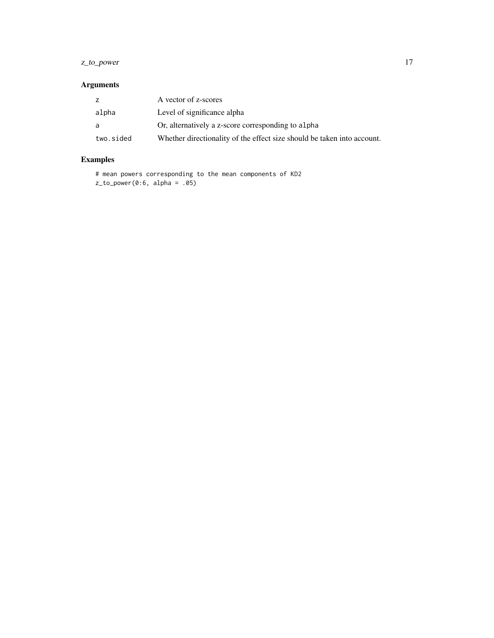# z\_to\_power 17

# Arguments

| z         | A vector of z-scores                                                    |
|-----------|-------------------------------------------------------------------------|
| alpha     | Level of significance alpha                                             |
| a         | Or, alternatively a z-score corresponding to alpha                      |
| two.sided | Whether directionality of the effect size should be taken into account. |

# Examples

# mean powers corresponding to the mean components of KD2  $z_to-power(0:6, alpha = .05)$